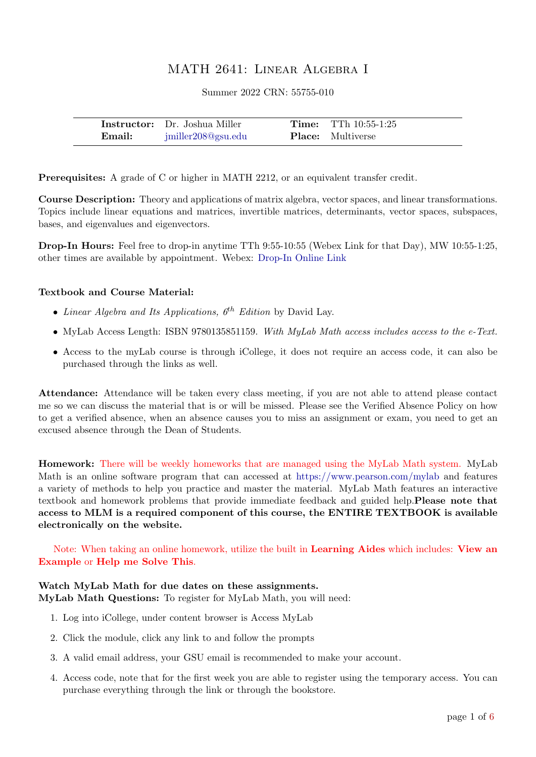# MATH 2641: Linear Algebra I

Summer 2022 CRN: 55755-010

|        | <b>Instructor:</b> Dr. Joshua Miller | <b>Time:</b> TTh $10:55-1:25$ |
|--------|--------------------------------------|-------------------------------|
| Email: | jmiller208@gsu.edu                   | <b>Place:</b> Multiverse      |

Prerequisites: A grade of C or higher in MATH 2212, or an equivalent transfer credit.

Course Description: Theory and applications of matrix algebra, vector spaces, and linear transformations. Topics include linear equations and matrices, invertible matrices, determinants, vector spaces, subspaces, bases, and eigenvalues and eigenvectors.

Drop-In Hours: Feel free to drop-in anytime TTh 9:55-10:55 (Webex Link for that Day), MW 10:55-1:25, other times are available by appointment. Webex: [Drop-In Online Link](http://gsumeetings.webex.com/join/jmiller208)

# Textbook and Course Material:

- Linear Algebra and Its Applications,  $6^{th}$  Edition by David Lay.
- MyLab Access Length: ISBN 9780135851159. With MyLab Math access includes access to the e-Text.
- Access to the myLab course is through iCollege, it does not require an access code, it can also be purchased through the links as well.

Attendance: Attendance will be taken every class meeting, if you are not able to attend please contact me so we can discuss the material that is or will be missed. Please see the Verified Absence Policy on how to get a verified absence, when an absence causes you to miss an assignment or exam, you need to get an excused absence through the Dean of Students.

Homework: There will be weekly homeworks that are managed using the MyLab Math system. MyLab Math is an online software program that can accessed at <https://www.pearson.com/mylab> and features a variety of methods to help you practice and master the material. MyLab Math features an interactive textbook and homework problems that provide immediate feedback and guided help.Please note that access to MLM is a required component of this course, the ENTIRE TEXTBOOK is available electronically on the website.

Note: When taking an online homework, utilize the built in Learning Aides which includes: View an Example or Help me Solve This.

# Watch MyLab Math for due dates on these assignments.

MyLab Math Questions: To register for MyLab Math, you will need:

- 1. Log into iCollege, under content browser is Access MyLab
- 2. Click the module, click any link to and follow the prompts
- 3. A valid email address, your GSU email is recommended to make your account.
- 4. Access code, note that for the first week you are able to register using the temporary access. You can purchase everything through the link or through the bookstore.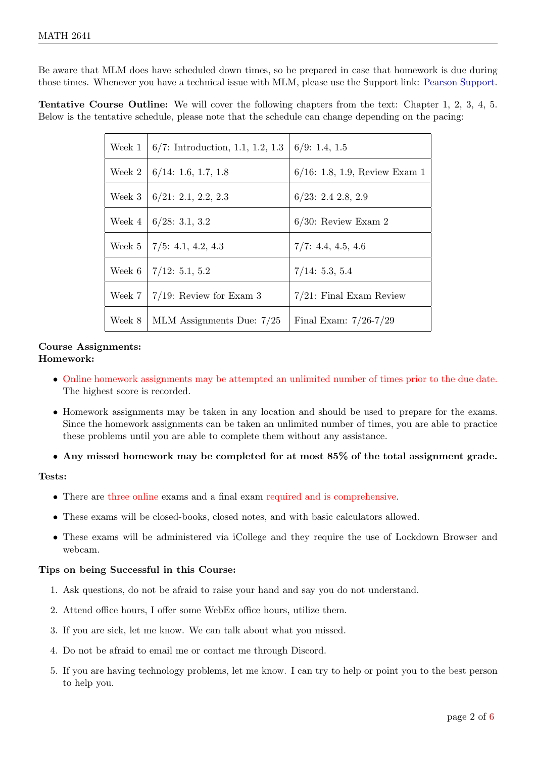Be aware that MLM does have scheduled down times, so be prepared in case that homework is due during those times. Whenever you have a technical issue with MLM, please use the Support link: [Pearson Support.](https://support.pearson.com/getsupport/s/contactsupport )

Tentative Course Outline: We will cover the following chapters from the text: Chapter 1, 2, 3, 4, 5. Below is the tentative schedule, please note that the schedule can change depending on the pacing:

| $6/7$ : Introduction, 1.1, 1.2, 1.3 | 6/9: 1.4, 1.5                                                                                    |
|-------------------------------------|--------------------------------------------------------------------------------------------------|
| 6/14: 1.6, 1.7, 1.8                 | $6/16: 1.8, 1.9,$ Review Exam 1                                                                  |
| 6/21: 2.1, 2.2, 2.3                 | 6/23: 2.4 2.8, 2.9                                                                               |
| 6/28: 3.1, 3.2                      | $6/30$ : Review Exam 2                                                                           |
|                                     | 7/7: 4.4, 4.5, 4.6                                                                               |
|                                     | 7/14: 5.3, 5.4                                                                                   |
|                                     | $7/21$ : Final Exam Review                                                                       |
| MLM Assignments Due: $7/25$         | Final Exam: $7/26-7/29$                                                                          |
|                                     | Week $5 \mid 7/5: 4.1, 4.2, 4.3$<br>  $7/12: 5.1, 5.2$<br>Week $7 \mid 7/19$ : Review for Exam 3 |

# Course Assignments: Homework:

- Online homework assignments may be attempted an unlimited number of times prior to the due date. The highest score is recorded.
- Homework assignments may be taken in any location and should be used to prepare for the exams. Since the homework assignments can be taken an unlimited number of times, you are able to practice these problems until you are able to complete them without any assistance.
- Any missed homework may be completed for at most 85% of the total assignment grade.

# Tests:

- There are three online exams and a final exam required and is comprehensive.
- These exams will be closed-books, closed notes, and with basic calculators allowed.
- These exams will be administered via iCollege and they require the use of Lockdown Browser and webcam.

# Tips on being Successful in this Course:

- 1. Ask questions, do not be afraid to raise your hand and say you do not understand.
- 2. Attend office hours, I offer some WebEx office hours, utilize them.
- 3. If you are sick, let me know. We can talk about what you missed.
- 4. Do not be afraid to email me or contact me through Discord.
- 5. If you are having technology problems, let me know. I can try to help or point you to the best person to help you.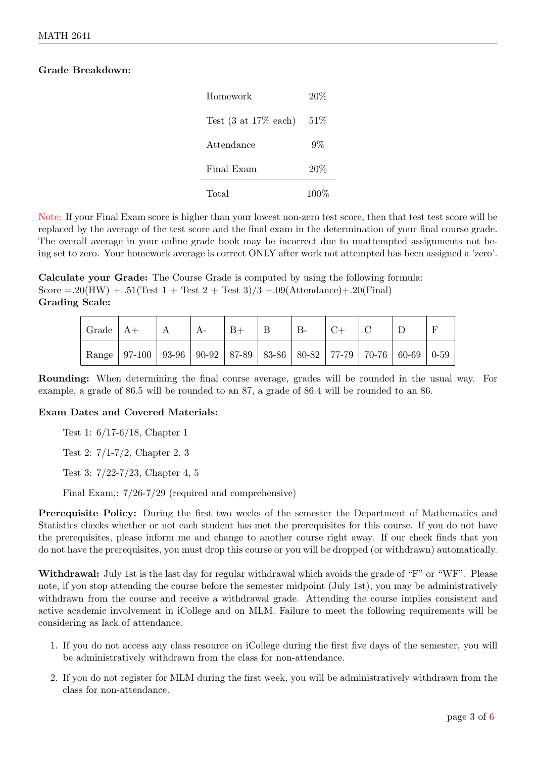# Grade Breakdown:

| Homework                                 | 20%     |  |  |
|------------------------------------------|---------|--|--|
| Test $(3 \text{ at } 17\% \text{ each})$ | 51%     |  |  |
| Attendance                               | 9%      |  |  |
| Final Exam                               | 20%     |  |  |
| Total                                    | $100\%$ |  |  |

Note: If your Final Exam score is higher than your lowest non-zero test score, then that test test score will be replaced by the average of the test score and the final exam in the determination of your final course grade. The overall average in your online grade book may be incorrect due to unattempted assignments not being set to zero. Your homework average is correct ONLY after work not attempted has been assigned a 'zero'.

Calculate your Grade: The Course Grade is computed by using the following formula: Score  $= 20(HW) + .51(Test 1 + Test 2 + Test 3)/3 + .09(Attendance) + .20(Final)$ Grading Scale:

| $\vert$ Grade $\vert$ A+ |                                                                                       | А | $ A-$ | $B+$ | $B-$ |  |  |
|--------------------------|---------------------------------------------------------------------------------------|---|-------|------|------|--|--|
|                          | Range   97-100   93-96   90-92   87-89   83-86   80-82   77-79   70-76   60-69   0-59 |   |       |      |      |  |  |

Rounding: When determining the final course average, grades will be rounded in the usual way. For example, a grade of 86.5 will be rounded to an 87, a grade of 86.4 will be rounded to an 86.

# Exam Dates and Covered Materials:

Test 1: 6/17-6/18, Chapter 1

Test 2: 7/1-7/2, Chapter 2, 3

Test 3: 7/22-7/23, Chapter 4, 5

Final Exam,: 7/26-7/29 (required and comprehensive)

Prerequisite Policy: During the first two weeks of the semester the Department of Mathematics and Statistics checks whether or not each student has met the prerequisites for this course. If you do not have the prerequisites, please inform me and change to another course right away. If our check finds that you do not have the prerequisites, you must drop this course or you will be dropped (or withdrawn) automatically.

Withdrawal: July 1st is the last day for regular withdrawal which avoids the grade of "F" or "WF". Please note, if you stop attending the course before the semester midpoint (July 1st), you may be administratively withdrawn from the course and receive a withdrawal grade. Attending the course implies consistent and active academic involvement in iCollege and on MLM. Failure to meet the following requirements will be considering as lack of attendance.

- 1. If you do not access any class resource on iCollege during the first five days of the semester, you will be administratively withdrawn from the class for non-attendance.
- 2. If you do not register for MLM during the first week, you will be administratively withdrawn from the class for non-attendance.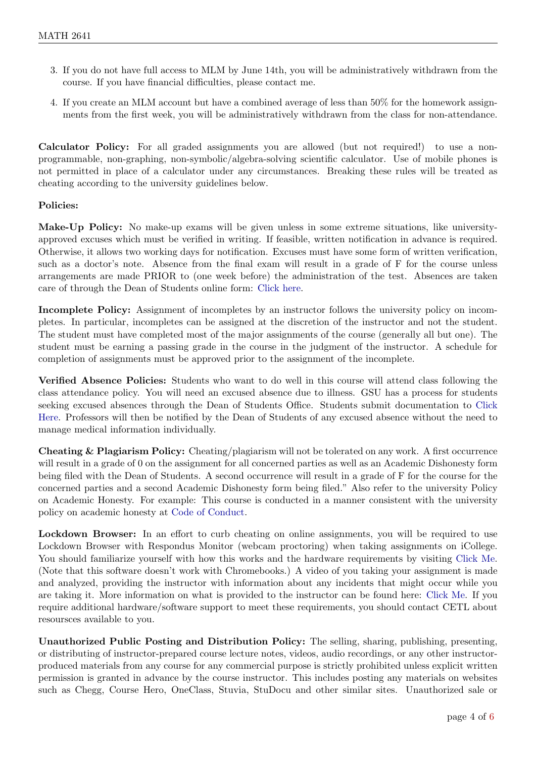- 3. If you do not have full access to MLM by June 14th, you will be administratively withdrawn from the course. If you have financial difficulties, please contact me.
- 4. If you create an MLM account but have a combined average of less than 50% for the homework assignments from the first week, you will be administratively withdrawn from the class for non-attendance.

Calculator Policy: For all graded assignments you are allowed (but not required!) to use a nonprogrammable, non-graphing, non-symbolic/algebra-solving scientific calculator. Use of mobile phones is not permitted in place of a calculator under any circumstances. Breaking these rules will be treated as cheating according to the university guidelines below.

# Policies:

Make-Up Policy: No make-up exams will be given unless in some extreme situations, like universityapproved excuses which must be verified in writing. If feasible, written notification in advance is required. Otherwise, it allows two working days for notification. Excuses must have some form of written verification, such as a doctor's note. Absence from the final exam will result in a grade of F for the course unless arrangements are made PRIOR to (one week before) the administration of the test. Absences are taken care of through the Dean of Students online form: [Click here.](https://deanofstudents.gsu.edu/student-assistance/professor-absence-notification/)

Incomplete Policy: Assignment of incompletes by an instructor follows the university policy on incompletes. In particular, incompletes can be assigned at the discretion of the instructor and not the student. The student must have completed most of the major assignments of the course (generally all but one). The student must be earning a passing grade in the course in the judgment of the instructor. A schedule for completion of assignments must be approved prior to the assignment of the incomplete.

Verified Absence Policies: Students who want to do well in this course will attend class following the class attendance policy. You will need an excused absence due to illness. GSU has a process for students seeking excused absences through the Dean of Students Office. Students submit documentation to [Click](https://deanofstudents.gsu.edu/student-assistance/professor-absence-notification/) [Here.](https://deanofstudents.gsu.edu/student-assistance/professor-absence-notification/) Professors will then be notified by the Dean of Students of any excused absence without the need to manage medical information individually.

Cheating & Plagiarism Policy: Cheating/plagiarism will not be tolerated on any work. A first occurrence will result in a grade of 0 on the assignment for all concerned parties as well as an Academic Dishonesty form being filed with the Dean of Students. A second occurrence will result in a grade of F for the course for the concerned parties and a second Academic Dishonesty form being filed." Also refer to the university Policy on Academic Honesty. For example: This course is conducted in a manner consistent with the university policy on academic honesty at [Code of Conduct.](http://codeofconduct.gsu.edu/)

Lockdown Browser: In an effort to curb cheating on online assignments, you will be required to use Lockdown Browser with Respondus Monitor (webcam proctoring) when taking assignments on iCollege. You should familiarize yourself with how this works and the hardware requirements by visiting [Click Me.]( https://web.respondus.com/he/lockdownbrowser/) (Note that this software doesn't work with Chromebooks.) A video of you taking your assignment is made and analyzed, providing the instructor with information about any incidents that might occur while you are taking it. More information on what is provided to the instructor can be found here: [Click Me.](https://web.respondus.com/monitor-review/) If you require additional hardware/software support to meet these requirements, you should contact CETL about resoursces available to you.

Unauthorized Public Posting and Distribution Policy: The selling, sharing, publishing, presenting, or distributing of instructor-prepared course lecture notes, videos, audio recordings, or any other instructorproduced materials from any course for any commercial purpose is strictly prohibited unless explicit written permission is granted in advance by the course instructor. This includes posting any materials on websites such as Chegg, Course Hero, OneClass, Stuvia, StuDocu and other similar sites. Unauthorized sale or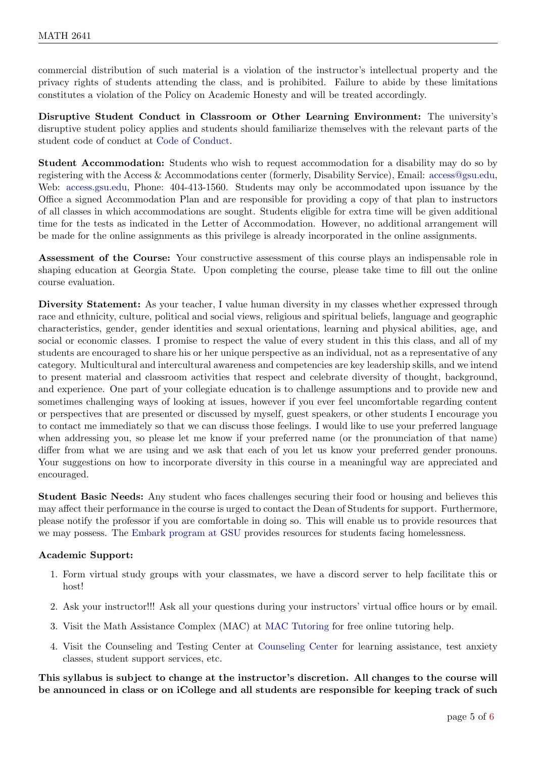commercial distribution of such material is a violation of the instructor's intellectual property and the privacy rights of students attending the class, and is prohibited. Failure to abide by these limitations constitutes a violation of the Policy on Academic Honesty and will be treated accordingly.

Disruptive Student Conduct in Classroom or Other Learning Environment: The university's disruptive student policy applies and students should familiarize themselves with the relevant parts of the student code of conduct at [Code of Conduct.](http://codeofconduct.gsu.edu/)

Student Accommodation: Students who wish to request accommodation for a disability may do so by registering with the Access & Accommodations center (formerly, Disability Service), Email: [access@gsu.edu,](mailto: access@gsu.edu) Web: [access.gsu.edu,](https://access.gsu.edu) Phone: 404-413-1560. Students may only be accommodated upon issuance by the Office a signed Accommodation Plan and are responsible for providing a copy of that plan to instructors of all classes in which accommodations are sought. Students eligible for extra time will be given additional time for the tests as indicated in the Letter of Accommodation. However, no additional arrangement will be made for the online assignments as this privilege is already incorporated in the online assignments.

Assessment of the Course: Your constructive assessment of this course plays an indispensable role in shaping education at Georgia State. Upon completing the course, please take time to fill out the online course evaluation.

Diversity Statement: As your teacher, I value human diversity in my classes whether expressed through race and ethnicity, culture, political and social views, religious and spiritual beliefs, language and geographic characteristics, gender, gender identities and sexual orientations, learning and physical abilities, age, and social or economic classes. I promise to respect the value of every student in this this class, and all of my students are encouraged to share his or her unique perspective as an individual, not as a representative of any category. Multicultural and intercultural awareness and competencies are key leadership skills, and we intend to present material and classroom activities that respect and celebrate diversity of thought, background, and experience. One part of your collegiate education is to challenge assumptions and to provide new and sometimes challenging ways of looking at issues, however if you ever feel uncomfortable regarding content or perspectives that are presented or discussed by myself, guest speakers, or other students I encourage you to contact me immediately so that we can discuss those feelings. I would like to use your preferred language when addressing you, so please let me know if your preferred name (or the pronunciation of that name) differ from what we are using and we ask that each of you let us know your preferred gender pronouns. Your suggestions on how to incorporate diversity in this course in a meaningful way are appreciated and encouraged.

Student Basic Needs: Any student who faces challenges securing their food or housing and believes this may affect their performance in the course is urged to contact the Dean of Students for support. Furthermore, please notify the professor if you are comfortable in doing so. This will enable us to provide resources that we may possess. The [Embark program at GSU](https://deanofstudents.gsu.edu/student-assistance/embark/) provides resources for students facing homelessness.

# Academic Support:

- 1. Form virtual study groups with your classmates, we have a discord server to help facilitate this or host!
- 2. Ask your instructor!!! Ask all your questions during your instructors' virtual office hours or by email.
- 3. Visit the Math Assistance Complex (MAC) at [MAC Tutoring](http://mathstat.gsu.edu/undergraduate/current-students/mac/) for free online tutoring help.
- 4. Visit the Counseling and Testing Center at [Counseling Center](http://counselingcenter.gsu.edu/) for learning assistance, test anxiety classes, student support services, etc.

This syllabus is subject to change at the instructor's discretion. All changes to the course will be announced in class or on iCollege and all students are responsible for keeping track of such